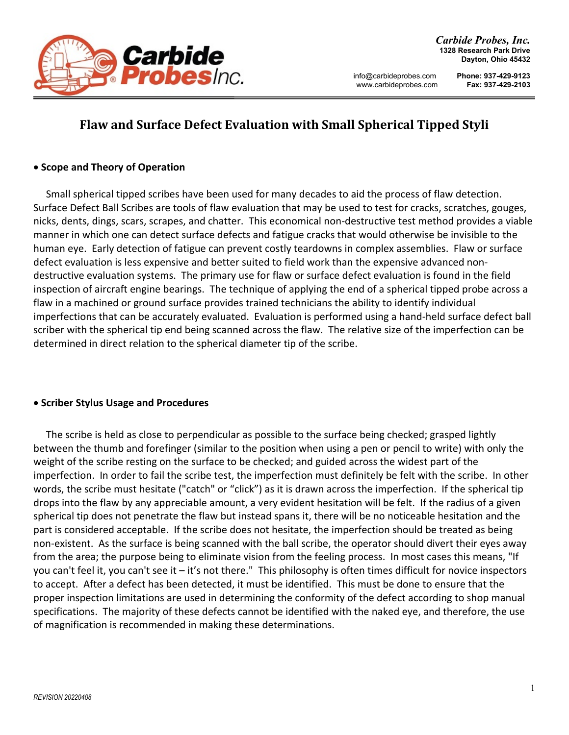

# **Flaw and Surface Defect Evaluation with Small Spherical Tipped Styli**

## **Scope and Theory of Operation**

 Small spherical tipped scribes have been used for many decades to aid the process of flaw detection. Surface Defect Ball Scribes are tools of flaw evaluation that may be used to test for cracks, scratches, gouges, nicks, dents, dings, scars, scrapes, and chatter. This economical non‐destructive test method provides a viable manner in which one can detect surface defects and fatigue cracks that would otherwise be invisible to the human eye. Early detection of fatigue can prevent costly teardowns in complex assemblies. Flaw or surface defect evaluation is less expensive and better suited to field work than the expensive advanced non‐ destructive evaluation systems. The primary use for flaw or surface defect evaluation is found in the field inspection of aircraft engine bearings. The technique of applying the end of a spherical tipped probe across a flaw in a machined or ground surface provides trained technicians the ability to identify individual imperfections that can be accurately evaluated. Evaluation is performed using a hand‐held surface defect ball scriber with the spherical tip end being scanned across the flaw. The relative size of the imperfection can be determined in direct relation to the spherical diameter tip of the scribe.

# **Scriber Stylus Usage and Procedures**

 The scribe is held as close to perpendicular as possible to the surface being checked; grasped lightly between the thumb and forefinger (similar to the position when using a pen or pencil to write) with only the weight of the scribe resting on the surface to be checked; and guided across the widest part of the imperfection. In order to fail the scribe test, the imperfection must definitely be felt with the scribe. In other words, the scribe must hesitate ("catch" or "click") as it is drawn across the imperfection. If the spherical tip drops into the flaw by any appreciable amount, a very evident hesitation will be felt. If the radius of a given spherical tip does not penetrate the flaw but instead spans it, there will be no noticeable hesitation and the part is considered acceptable. If the scribe does not hesitate, the imperfection should be treated as being non‐existent. As the surface is being scanned with the ball scribe, the operator should divert their eyes away from the area; the purpose being to eliminate vision from the feeling process. In most cases this means, "If you can't feel it, you can't see it – it's not there." This philosophy is often times difficult for novice inspectors to accept. After a defect has been detected, it must be identified. This must be done to ensure that the proper inspection limitations are used in determining the conformity of the defect according to shop manual specifications. The majority of these defects cannot be identified with the naked eye, and therefore, the use of magnification is recommended in making these determinations.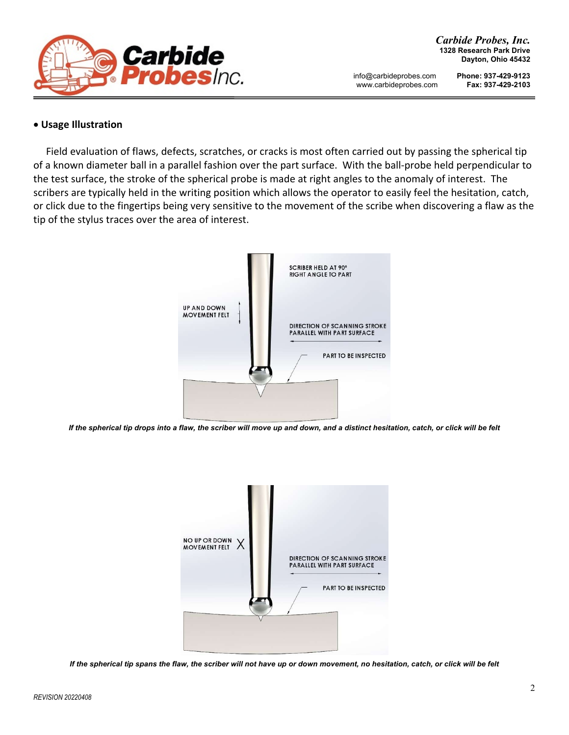

#### **Usage Illustration**

 Field evaluation of flaws, defects, scratches, or cracks is most often carried out by passing the spherical tip of a known diameter ball in a parallel fashion over the part surface. With the ball‐probe held perpendicular to the test surface, the stroke of the spherical probe is made at right angles to the anomaly of interest. The scribers are typically held in the writing position which allows the operator to easily feel the hesitation, catch, or click due to the fingertips being very sensitive to the movement of the scribe when discovering a flaw as the tip of the stylus traces over the area of interest.



*If the spherical tip drops into a flaw, the scriber will move up and down, and a distinct hesitation, catch, or click will be felt*



*If the spherical tip spans the flaw, the scriber will not have up or down movement, no hesitation, catch, or click will be felt*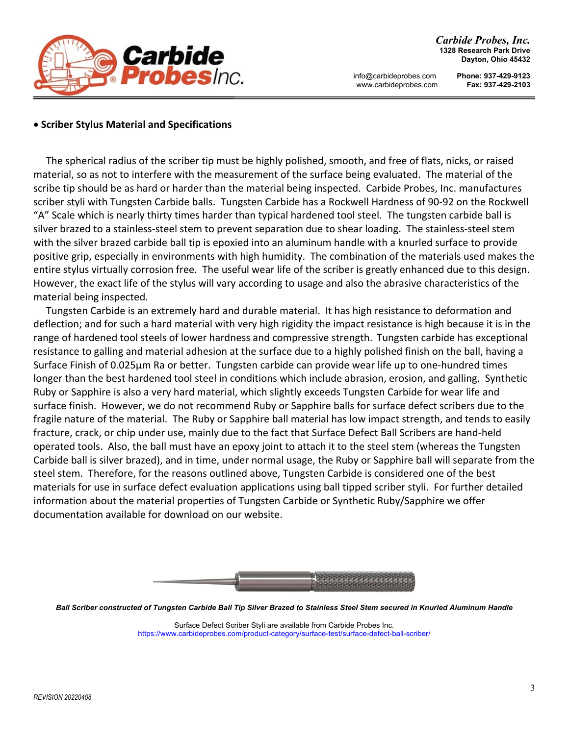

## **Scriber Stylus Material and Specifications**

The spherical radius of the scriber tip must be highly polished, smooth, and free of flats, nicks, or raised material, so as not to interfere with the measurement of the surface being evaluated. The material of the scribe tip should be as hard or harder than the material being inspected. Carbide Probes, Inc. manufactures scriber styli with Tungsten Carbide balls. Tungsten Carbide has a Rockwell Hardness of 90‐92 on the Rockwell "A" Scale which is nearly thirty times harder than typical hardened tool steel. The tungsten carbide ball is silver brazed to a stainless-steel stem to prevent separation due to shear loading. The stainless-steel stem with the silver brazed carbide ball tip is epoxied into an aluminum handle with a knurled surface to provide positive grip, especially in environments with high humidity. The combination of the materials used makes the entire stylus virtually corrosion free. The useful wear life of the scriber is greatly enhanced due to this design. However, the exact life of the stylus will vary according to usage and also the abrasive characteristics of the material being inspected.

Tungsten Carbide is an extremely hard and durable material. It has high resistance to deformation and deflection; and for such a hard material with very high rigidity the impact resistance is high because it is in the range of hardened tool steels of lower hardness and compressive strength. Tungsten carbide has exceptional resistance to galling and material adhesion at the surface due to a highly polished finish on the ball, having a Surface Finish of 0.025µm Ra or better. Tungsten carbide can provide wear life up to one‐hundred times longer than the best hardened tool steel in conditions which include abrasion, erosion, and galling. Synthetic Ruby or Sapphire is also a very hard material, which slightly exceeds Tungsten Carbide for wear life and surface finish. However, we do not recommend Ruby or Sapphire balls for surface defect scribers due to the fragile nature of the material. The Ruby or Sapphire ball material has low impact strength, and tends to easily fracture, crack, or chip under use, mainly due to the fact that Surface Defect Ball Scribers are hand‐held operated tools. Also, the ball must have an epoxy joint to attach it to the steel stem (whereas the Tungsten Carbide ball is silver brazed), and in time, under normal usage, the Ruby or Sapphire ball will separate from the steel stem. Therefore, for the reasons outlined above, Tungsten Carbide is considered one of the best materials for use in surface defect evaluation applications using ball tipped scriber styli. For further detailed information about the material properties of Tungsten Carbide or Synthetic Ruby/Sapphire we offer documentation available for download on our website.



*Ball Scriber constructed of Tungsten Carbide Ball Tip Silver Brazed to Stainless Steel Stem secured in Knurled Aluminum Handle* 

Surface Defect Scriber Styli are available from Carbide Probes Inc. https://www.carbideprobes.com/product-category/surface-test/surface-defect-ball-scriber/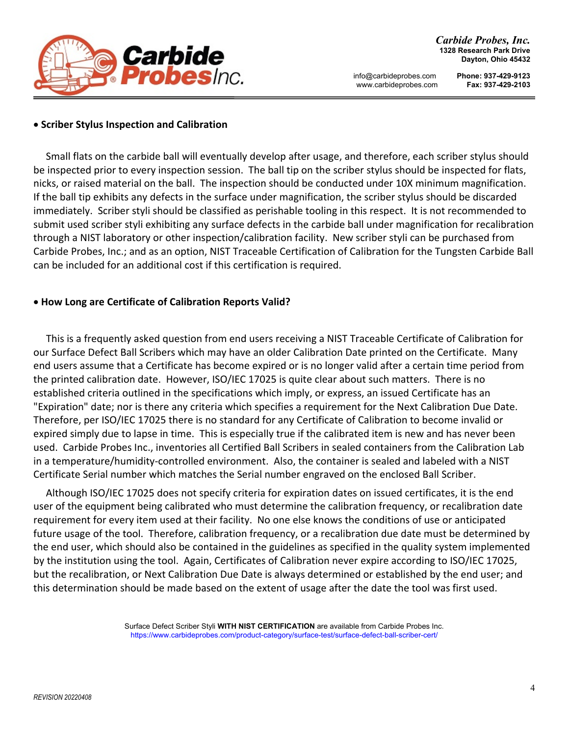

#### **Scriber Stylus Inspection and Calibration**

 Small flats on the carbide ball will eventually develop after usage, and therefore, each scriber stylus should be inspected prior to every inspection session. The ball tip on the scriber stylus should be inspected for flats, nicks, or raised material on the ball. The inspection should be conducted under 10X minimum magnification. If the ball tip exhibits any defects in the surface under magnification, the scriber stylus should be discarded immediately. Scriber styli should be classified as perishable tooling in this respect. It is not recommended to submit used scriber styli exhibiting any surface defects in the carbide ball under magnification for recalibration through a NIST laboratory or other inspection/calibration facility. New scriber styli can be purchased from Carbide Probes, Inc.; and as an option, NIST Traceable Certification of Calibration for the Tungsten Carbide Ball can be included for an additional cost if this certification is required.

#### **How Long are Certificate of Calibration Reports Valid?**

This is a frequently asked question from end users receiving a NIST Traceable Certificate of Calibration for our Surface Defect Ball Scribers which may have an older Calibration Date printed on the Certificate. Many end users assume that a Certificate has become expired or is no longer valid after a certain time period from the printed calibration date. However, ISO/IEC 17025 is quite clear about such matters. There is no established criteria outlined in the specifications which imply, or express, an issued Certificate has an "Expiration" date; nor is there any criteria which specifies a requirement for the Next Calibration Due Date. Therefore, per ISO/IEC 17025 there is no standard for any Certificate of Calibration to become invalid or expired simply due to lapse in time. This is especially true if the calibrated item is new and has never been used. Carbide Probes Inc., inventories all Certified Ball Scribers in sealed containers from the Calibration Lab in a temperature/humidity‐controlled environment. Also, the container is sealed and labeled with a NIST Certificate Serial number which matches the Serial number engraved on the enclosed Ball Scriber.

Although ISO/IEC 17025 does not specify criteria for expiration dates on issued certificates, it is the end user of the equipment being calibrated who must determine the calibration frequency, or recalibration date requirement for every item used at their facility. No one else knows the conditions of use or anticipated future usage of the tool. Therefore, calibration frequency, or a recalibration due date must be determined by the end user, which should also be contained in the guidelines as specified in the quality system implemented by the institution using the tool. Again, Certificates of Calibration never expire according to ISO/IEC 17025, but the recalibration, or Next Calibration Due Date is always determined or established by the end user; and this determination should be made based on the extent of usage after the date the tool was first used.

> Surface Defect Scriber Styli **WITH NIST CERTIFICATION** are available from Carbide Probes Inc. https://www.carbideprobes.com/product-category/surface-test/surface-defect-ball-scriber-cert/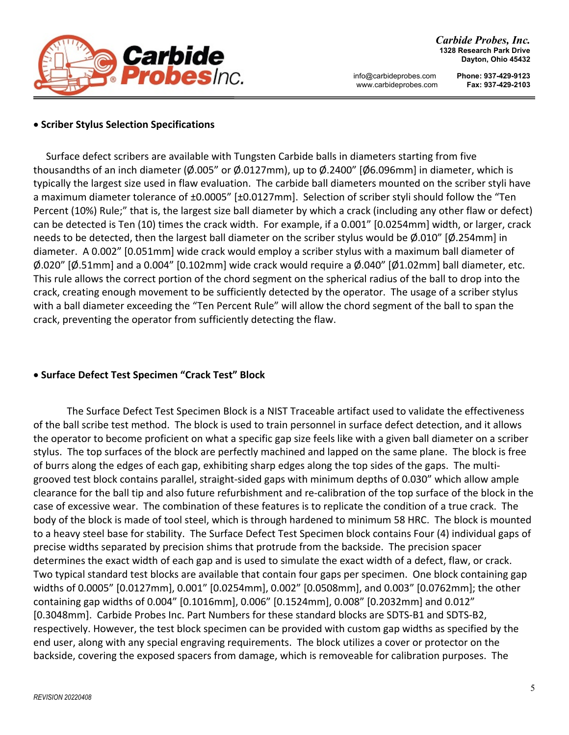

# **Scriber Stylus Selection Specifications**

 Surface defect scribers are available with Tungsten Carbide balls in diameters starting from five thousandths of an inch diameter (Ø.005" or Ø.0127mm), up to Ø.2400" [Ø6.096mm] in diameter, which is typically the largest size used in flaw evaluation. The carbide ball diameters mounted on the scriber styli have a maximum diameter tolerance of ±0.0005" [±0.0127mm]. Selection of scriber styli should follow the "Ten Percent (10%) Rule;" that is, the largest size ball diameter by which a crack (including any other flaw or defect) can be detected is Ten (10) times the crack width. For example, if a 0.001" [0.0254mm] width, or larger, crack needs to be detected, then the largest ball diameter on the scriber stylus would be Ø.010" [Ø.254mm] in diameter. A 0.002" [0.051mm] wide crack would employ a scriber stylus with a maximum ball diameter of  $\phi$ .020" [ $\phi$ .51mm] and a 0.004" [0.102mm] wide crack would require a  $\phi$ .040" [ $\phi$ 1.02mm] ball diameter, etc. This rule allows the correct portion of the chord segment on the spherical radius of the ball to drop into the crack, creating enough movement to be sufficiently detected by the operator. The usage of a scriber stylus with a ball diameter exceeding the "Ten Percent Rule" will allow the chord segment of the ball to span the crack, preventing the operator from sufficiently detecting the flaw.

# **Surface Defect Test Specimen "Crack Test" Block**

The Surface Defect Test Specimen Block is a NIST Traceable artifact used to validate the effectiveness of the ball scribe test method. The block is used to train personnel in surface defect detection, and it allows the operator to become proficient on what a specific gap size feels like with a given ball diameter on a scriber stylus. The top surfaces of the block are perfectly machined and lapped on the same plane. The block is free of burrs along the edges of each gap, exhibiting sharp edges along the top sides of the gaps. The multi‐ grooved test block contains parallel, straight‐sided gaps with minimum depths of 0.030" which allow ample clearance for the ball tip and also future refurbishment and re‐calibration of the top surface of the block in the case of excessive wear. The combination of these features is to replicate the condition of a true crack. The body of the block is made of tool steel, which is through hardened to minimum 58 HRC. The block is mounted to a heavy steel base for stability. The Surface Defect Test Specimen block contains Four (4) individual gaps of precise widths separated by precision shims that protrude from the backside. The precision spacer determines the exact width of each gap and is used to simulate the exact width of a defect, flaw, or crack. Two typical standard test blocks are available that contain four gaps per specimen. One block containing gap widths of 0.0005" [0.0127mm], 0.001" [0.0254mm], 0.002" [0.0508mm], and 0.003" [0.0762mm]; the other containing gap widths of 0.004" [0.1016mm], 0.006" [0.1524mm], 0.008" [0.2032mm] and 0.012" [0.3048mm]. Carbide Probes Inc. Part Numbers for these standard blocks are SDTS‐B1 and SDTS‐B2, respectively. However, the test block specimen can be provided with custom gap widths as specified by the end user, along with any special engraving requirements. The block utilizes a cover or protector on the backside, covering the exposed spacers from damage, which is removeable for calibration purposes. The